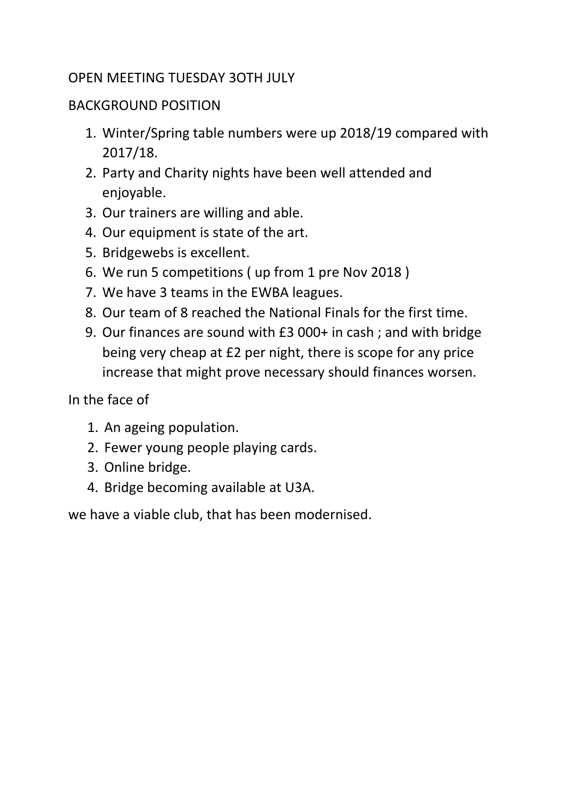### OPEN MEETING TUESDAY 3OTH JULY

#### BACKGROUND POSITION

- 1. Winter/Spring table numbers were up 2018/19 compared with 2017/18.
- 2. Party and Charity nights have been well attended and enjoyable.
- 3. Our trainers are willing and able.
- 4. Our equipment is state of the art.
- 5. Bridgewebs is excellent.
- 6. We run 5 competitions ( up from 1 pre Nov 2018 )
- 7. We have 3 teams in the EWBA leagues.
- 8. Our team of 8 reached the National Finals for the first time.
- 9. Our finances are sound with £3 000+ in cash ; and with bridge being very cheap at £2 per night, there is scope for any price increase that might prove necessary should finances worsen.

In the face of

- 1. An ageing population.
- 2. Fewer young people playing cards.
- 3. Online bridge.
- 4. Bridge becoming available at U3A.

we have a viable club, that has been modernised.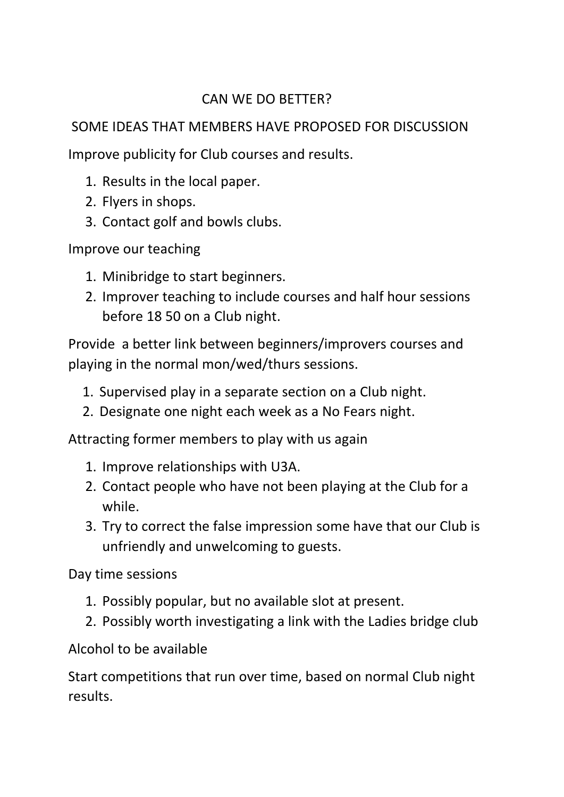## CAN WE DO BETTER?

# SOME IDEAS THAT MEMBERS HAVE PROPOSED FOR DISCUSSION

Improve publicity for Club courses and results.

- 1. Results in the local paper.
- 2. Flyers in shops.
- 3. Contact golf and bowls clubs.

Improve our teaching

- 1. Minibridge to start beginners.
- 2. Improver teaching to include courses and half hour sessions before 18 50 on a Club night.

Provide a better link between beginners/improvers courses and playing in the normal mon/wed/thurs sessions.

- 1. Supervised play in a separate section on a Club night.
- 2. Designate one night each week as a No Fears night.

Attracting former members to play with us again

- 1. Improve relationships with U3A.
- 2. Contact people who have not been playing at the Club for a while.
- 3. Try to correct the false impression some have that our Club is unfriendly and unwelcoming to guests.

Day time sessions

- 1. Possibly popular, but no available slot at present.
- 2. Possibly worth investigating a link with the Ladies bridge club

Alcohol to be available

Start competitions that run over time, based on normal Club night results.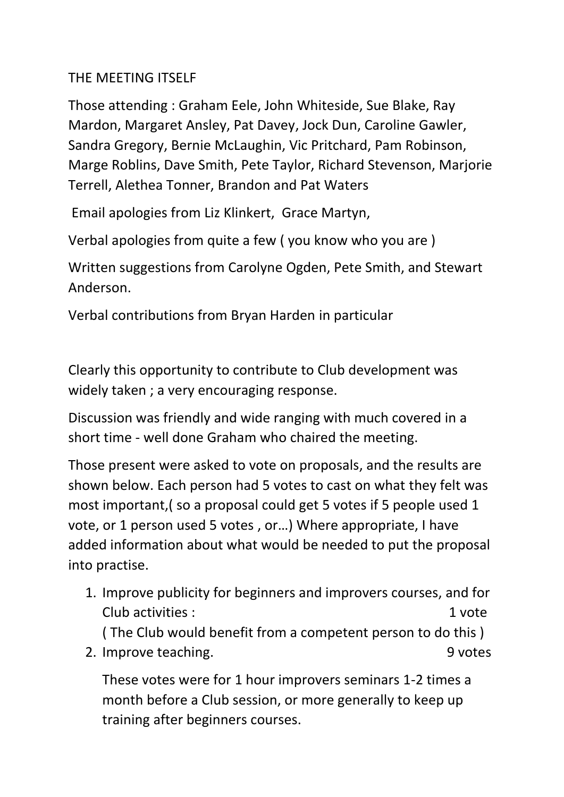### THE MEETING ITSELF

Those attending : Graham Eele, John Whiteside, Sue Blake, Ray Mardon, Margaret Ansley, Pat Davey, Jock Dun, Caroline Gawler, Sandra Gregory, Bernie McLaughin, Vic Pritchard, Pam Robinson, Marge Roblins, Dave Smith, Pete Taylor, Richard Stevenson, Marjorie Terrell, Alethea Tonner, Brandon and Pat Waters

Email apologies from Liz Klinkert, Grace Martyn,

Verbal apologies from quite a few ( you know who you are )

Written suggestions from Carolyne Ogden, Pete Smith, and Stewart Anderson.

Verbal contributions from Bryan Harden in particular

Clearly this opportunity to contribute to Club development was widely taken ; a very encouraging response.

Discussion was friendly and wide ranging with much covered in a short time - well done Graham who chaired the meeting.

Those present were asked to vote on proposals, and the results are shown below. Each person had 5 votes to cast on what they felt was most important,( so a proposal could get 5 votes if 5 people used 1 vote, or 1 person used 5 votes , or…) Where appropriate, I have added information about what would be needed to put the proposal into practise.

1. Improve publicity for beginners and improvers courses, and for Club activities : 1 vote ( The Club would benefit from a competent person to do this ) 2. Improve teaching. The same state of the state of the state of the state of the state of the state of the state of the state of the state of the state of the state of the state of the state of the state of the state of t

These votes were for 1 hour improvers seminars 1-2 times a month before a Club session, or more generally to keep up training after beginners courses.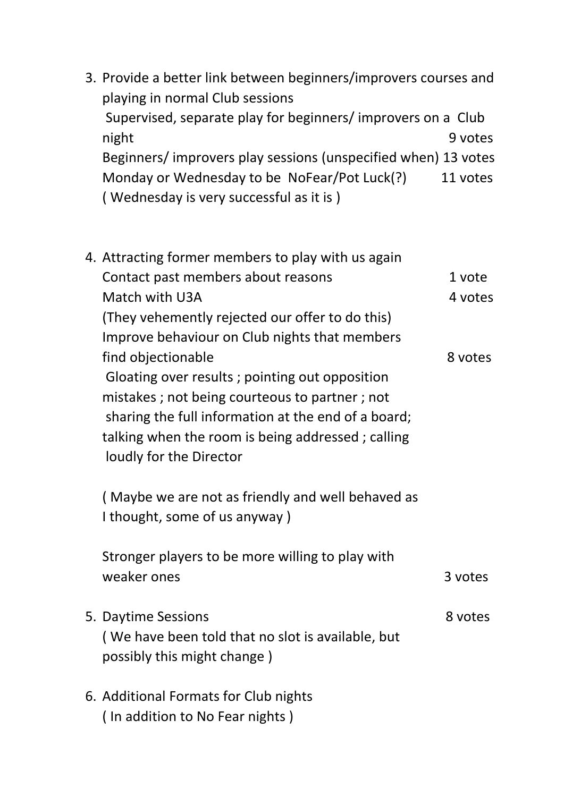3. Provide a better link between beginners/improvers courses and playing in normal Club sessions Supervised, separate play for beginners/ improvers on a Club night 9 votes Beginners/ improvers play sessions (unspecified when) 13 votes Monday or Wednesday to be NoFear/Pot Luck(?) 11 votes ( Wednesday is very successful as it is )

|  | 4. Attracting former members to play with us again  |         |
|--|-----------------------------------------------------|---------|
|  | Contact past members about reasons                  | 1 vote  |
|  | Match with U3A                                      | 4 votes |
|  | (They vehemently rejected our offer to do this)     |         |
|  | Improve behaviour on Club nights that members       |         |
|  | find objectionable                                  | 8 votes |
|  | Gloating over results; pointing out opposition      |         |
|  | mistakes; not being courteous to partner; not       |         |
|  | sharing the full information at the end of a board; |         |
|  | talking when the room is being addressed; calling   |         |
|  | loudly for the Director                             |         |
|  |                                                     |         |
|  | (Maybe we are not as friendly and well behaved as   |         |
|  | I thought, some of us anyway)                       |         |
|  | Stronger players to be more willing to play with    |         |
|  | weaker ones                                         | 3 votes |
|  |                                                     |         |
|  | 5. Daytime Sessions                                 | 8 votes |
|  | (We have been told that no slot is available, but   |         |
|  | possibly this might change)                         |         |
|  |                                                     |         |
|  | 6. Additional Formats for Club nights               |         |
|  | (In addition to No Fear nights)                     |         |